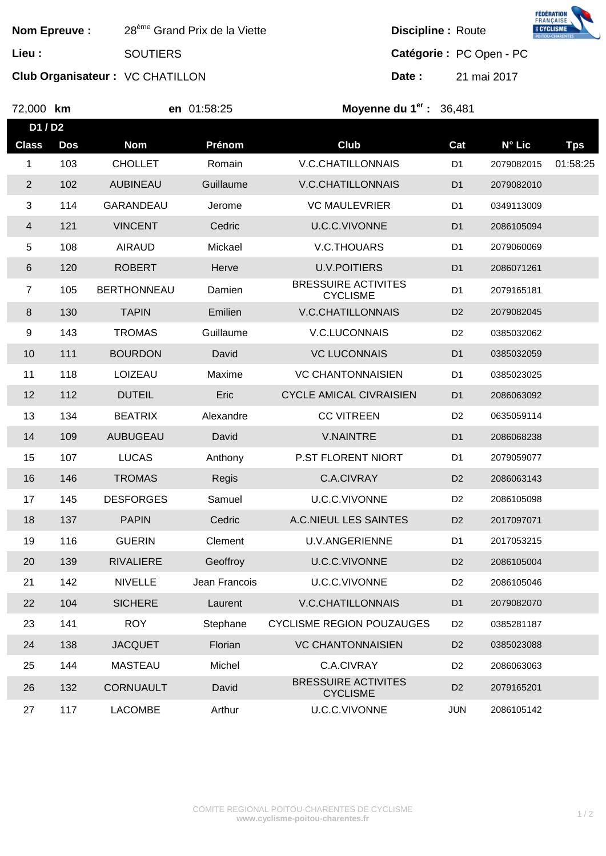| <b>Nom Epreuve:</b> |            | 28 <sup>ème</sup> Grand Prix de la Viette |               | <b>E CYCLISME</b><br><b>Discipline: Route</b> |                |             |            |  |
|---------------------|------------|-------------------------------------------|---------------|-----------------------------------------------|----------------|-------------|------------|--|
| Lieu :              |            | <b>SOUTIERS</b>                           |               | Catégorie : PC Open - PC                      |                |             |            |  |
|                     |            | <b>Club Organisateur: VC CHATILLON</b>    |               | Date:                                         |                | 21 mai 2017 |            |  |
| 72,000 km           |            |                                           | en 01:58:25   | Moyenne du $1er$ : 36,481                     |                |             |            |  |
| D1/D2               |            |                                           |               |                                               |                |             |            |  |
| <b>Class</b>        | <b>Dos</b> | <b>Nom</b>                                | Prénom        | Club                                          | Cat            | N° Lic      | <b>Tps</b> |  |
| 1                   | 103        | <b>CHOLLET</b>                            | Romain        | <b>V.C.CHATILLONNAIS</b>                      | D <sub>1</sub> | 2079082015  | 01:58:25   |  |
| $\overline{2}$      | 102        | <b>AUBINEAU</b>                           | Guillaume     | <b>V.C.CHATILLONNAIS</b>                      | D <sub>1</sub> | 2079082010  |            |  |
| 3                   | 114        | <b>GARANDEAU</b>                          | Jerome        | <b>VC MAULEVRIER</b>                          | D <sub>1</sub> | 0349113009  |            |  |
| 4                   | 121        | <b>VINCENT</b>                            | Cedric        | <b>U.C.C.VIVONNE</b>                          | D <sub>1</sub> | 2086105094  |            |  |
| 5                   | 108        | <b>AIRAUD</b>                             | Mickael       | V.C.THOUARS                                   | D <sub>1</sub> | 2079060069  |            |  |
| 6                   | 120        | <b>ROBERT</b>                             | Herve         | <b>U.V.POITIERS</b>                           | D <sub>1</sub> | 2086071261  |            |  |
| $\overline{7}$      | 105        | <b>BERTHONNEAU</b>                        | Damien        | <b>BRESSUIRE ACTIVITES</b><br><b>CYCLISME</b> | D <sub>1</sub> | 2079165181  |            |  |
| 8                   | 130        | <b>TAPIN</b>                              | Emilien       | <b>V.C.CHATILLONNAIS</b>                      | D <sub>2</sub> | 2079082045  |            |  |
| 9                   | 143        | <b>TROMAS</b>                             | Guillaume     | V.C.LUCONNAIS                                 | D <sub>2</sub> | 0385032062  |            |  |
| 10                  | 111        | <b>BOURDON</b>                            | David         | <b>VC LUCONNAIS</b>                           | D <sub>1</sub> | 0385032059  |            |  |
| 11                  | 118        | LOIZEAU                                   | Maxime        | <b>VC CHANTONNAISIEN</b>                      | D <sub>1</sub> | 0385023025  |            |  |
| 12                  | 112        | <b>DUTEIL</b>                             | Eric          | <b>CYCLE AMICAL CIVRAISIEN</b>                | D <sub>1</sub> | 2086063092  |            |  |
| 13                  | 134        | <b>BEATRIX</b>                            | Alexandre     | <b>CC VITREEN</b>                             | D <sub>2</sub> | 0635059114  |            |  |
| 14                  | 109        | <b>AUBUGEAU</b>                           | David         | <b>V.NAINTRE</b>                              | D <sub>1</sub> | 2086068238  |            |  |
| 15                  | 107        | <b>LUCAS</b>                              | Anthony       | P.ST FLORENT NIORT                            | D <sub>1</sub> | 2079059077  |            |  |
| 16                  | 146        | <b>TROMAS</b>                             | Regis         | C.A.CIVRAY                                    | D <sub>2</sub> | 2086063143  |            |  |
| 17                  | 145        | <b>DESFORGES</b>                          | Samuel        | U.C.C.VIVONNE                                 | D <sub>2</sub> | 2086105098  |            |  |
| 18                  | 137        | <b>PAPIN</b>                              | Cedric        | A.C.NIEUL LES SAINTES                         | D <sub>2</sub> | 2017097071  |            |  |
| 19                  | 116        | <b>GUERIN</b>                             | Clement       | <b>U.V.ANGERIENNE</b>                         | D <sub>1</sub> | 2017053215  |            |  |
| 20                  | 139        | <b>RIVALIERE</b>                          | Geoffroy      | U.C.C.VIVONNE                                 | D <sub>2</sub> | 2086105004  |            |  |
| 21                  | 142        | <b>NIVELLE</b>                            | Jean Francois | U.C.C.VIVONNE                                 | D <sub>2</sub> | 2086105046  |            |  |
| 22                  | 104        | <b>SICHERE</b>                            | Laurent       | <b>V.C.CHATILLONNAIS</b>                      | D <sub>1</sub> | 2079082070  |            |  |
| 23                  | 141        | <b>ROY</b>                                | Stephane      | <b>CYCLISME REGION POUZAUGES</b>              | D <sub>2</sub> | 0385281187  |            |  |
| 24                  | 138        | <b>JACQUET</b>                            | Florian       | <b>VC CHANTONNAISIEN</b>                      | D <sub>2</sub> | 0385023088  |            |  |
| 25                  | 144        | <b>MASTEAU</b>                            | Michel        | C.A.CIVRAY                                    | D <sub>2</sub> | 2086063063  |            |  |
| 26                  | 132        | <b>CORNUAULT</b>                          | David         | <b>BRESSUIRE ACTIVITES</b><br><b>CYCLISME</b> | D <sub>2</sub> | 2079165201  |            |  |
| 27                  | 117        | <b>LACOMBE</b>                            | Arthur        | U.C.C.VIVONNE                                 | <b>JUN</b>     | 2086105142  |            |  |

FÉDÉRATION